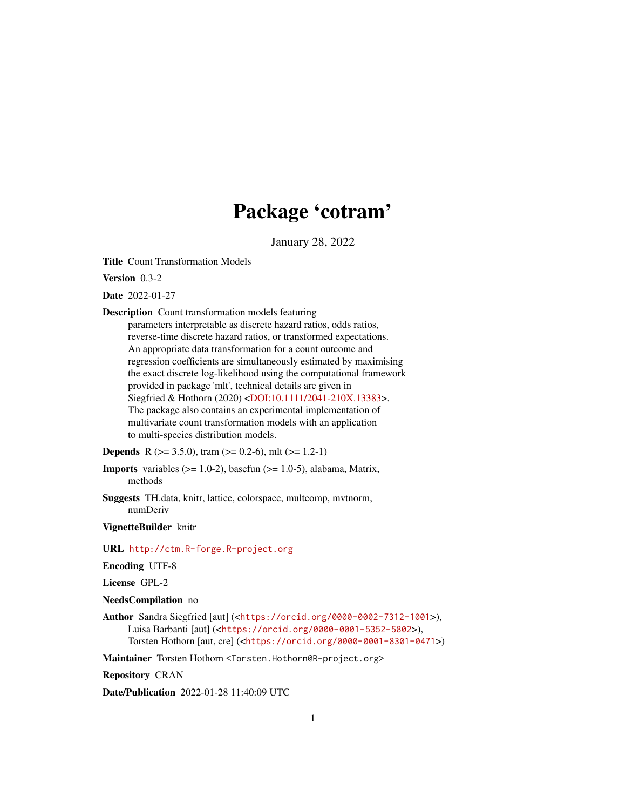## Package 'cotram'

January 28, 2022

<span id="page-0-0"></span>Title Count Transformation Models

Version 0.3-2

Date 2022-01-27

Description Count transformation models featuring

parameters interpretable as discrete hazard ratios, odds ratios, reverse-time discrete hazard ratios, or transformed expectations. An appropriate data transformation for a count outcome and regression coefficients are simultaneously estimated by maximising the exact discrete log-likelihood using the computational framework provided in package 'mlt', technical details are given in Siegfried & Hothorn (2020) [<DOI:10.1111/2041-210X.13383>](https://doi.org/10.1111/2041-210X.13383). The package also contains an experimental implementation of multivariate count transformation models with an application to multi-species distribution models.

**Depends** R ( $>= 3.5.0$ ), tram ( $>= 0.2-6$ ), mlt ( $>= 1.2-1$ )

**Imports** variables  $(>= 1.0-2)$ , basefun  $(>= 1.0-5)$ , alabama, Matrix, methods

Suggests TH.data, knitr, lattice, colorspace, multcomp, mvtnorm, numDeriv

VignetteBuilder knitr

URL <http://ctm.R-forge.R-project.org>

Encoding UTF-8

License GPL-2

NeedsCompilation no

Author Sandra Siegfried [aut] (<<https://orcid.org/0000-0002-7312-1001>>), Luisa Barbanti [aut] (<<https://orcid.org/0000-0001-5352-5802>>), Torsten Hothorn [aut, cre] (<<https://orcid.org/0000-0001-8301-0471>>)

Maintainer Torsten Hothorn <Torsten.Hothorn@R-project.org>

Repository CRAN

Date/Publication 2022-01-28 11:40:09 UTC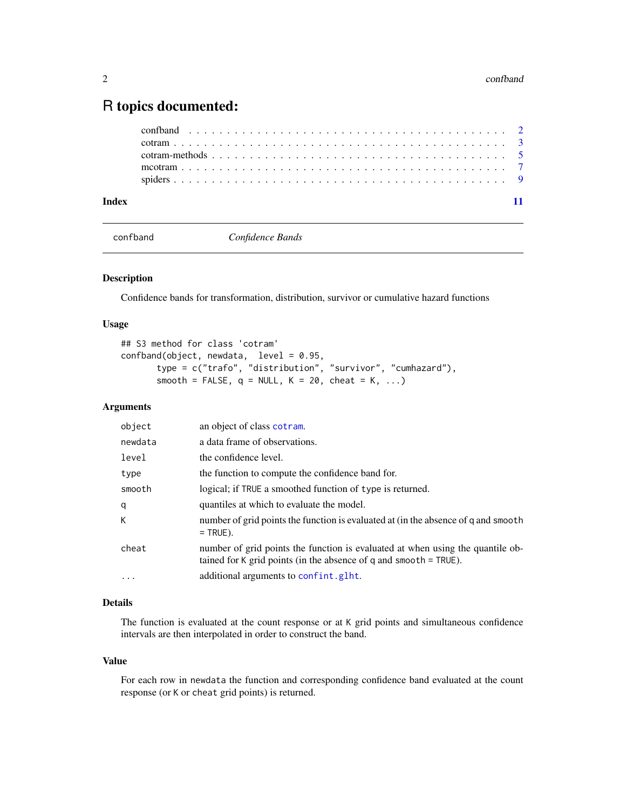### <span id="page-1-0"></span>R topics documented:

| Index |  |  |
|-------|--|--|
|       |  |  |
|       |  |  |
|       |  |  |
|       |  |  |
|       |  |  |

<span id="page-1-1"></span>

confband *Confidence Bands*

#### <span id="page-1-2"></span>Description

Confidence bands for transformation, distribution, survivor or cumulative hazard functions

#### Usage

```
## S3 method for class 'cotram'
confband(objject, new data, level = 0.95,type = c("trafo", "distribution", "survivor", "cumhazard"),
       smooth = FALSE, q = NULL, K = 20, cheat = K, ...)
```
#### Arguments

| object     | an object of class cotram.                                                                                                                            |
|------------|-------------------------------------------------------------------------------------------------------------------------------------------------------|
| newdata    | a data frame of observations.                                                                                                                         |
| level      | the confidence level.                                                                                                                                 |
| type       | the function to compute the confidence band for.                                                                                                      |
| smooth     | logical; if TRUE a smoothed function of type is returned.                                                                                             |
| q          | quantiles at which to evaluate the model.                                                                                                             |
| К          | number of grid points the function is evaluated at (in the absence of q and smooth<br>$=$ TRUE).                                                      |
| cheat      | number of grid points the function is evaluated at when using the quantile ob-<br>tained for K grid points (in the absence of $q$ and smooth = TRUE). |
| $\ddots$ . | additional arguments to confint.glht.                                                                                                                 |

#### Details

The function is evaluated at the count response or at K grid points and simultaneous confidence intervals are then interpolated in order to construct the band.

#### Value

For each row in newdata the function and corresponding confidence band evaluated at the count response (or K or cheat grid points) is returned.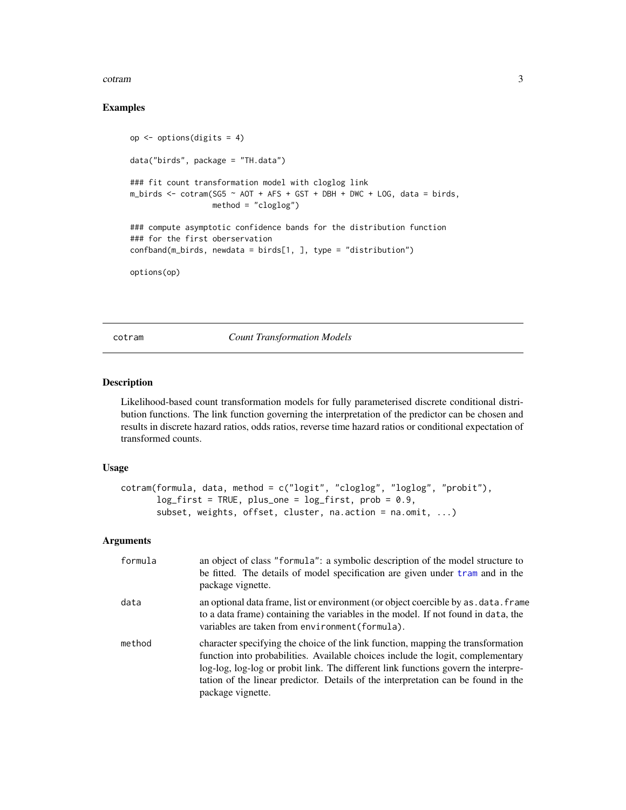#### <span id="page-2-0"></span>cotram 3

#### Examples

```
op <- options(digits = 4)
data("birds", package = "TH.data")
### fit count transformation model with cloglog link
m_birds \le - cotram(SG5 \sim AOT + AFS + GST + DBH + DWC + LOG, data = birds,
                  method = "cloglog")
### compute asymptotic confidence bands for the distribution function
### for the first oberservation
confband(m\_birds, newdata = birds[1, ], type = "distribution")options(op)
```
<span id="page-2-1"></span>cotram *Count Transformation Models*

#### Description

Likelihood-based count transformation models for fully parameterised discrete conditional distribution functions. The link function governing the interpretation of the predictor can be chosen and results in discrete hazard ratios, odds ratios, reverse time hazard ratios or conditional expectation of transformed counts.

#### Usage

```
cotram(formula, data, method = c("logit", "cloglog", "loglog", "probit"),
      log_first = TRUE, plus_one = log_first, prob = 0.9,
      subset, weights, offset, cluster, na.action = na.omit, ...)
```
#### Arguments

| formula | an object of class "formula": a symbolic description of the model structure to<br>be fitted. The details of model specification are given under tram and in the<br>package vignette.                                                                                                                                                                                |
|---------|---------------------------------------------------------------------------------------------------------------------------------------------------------------------------------------------------------------------------------------------------------------------------------------------------------------------------------------------------------------------|
| data    | an optional data frame, list or environment (or object coercible by as . data. frame<br>to a data frame) containing the variables in the model. If not found in data, the<br>variables are taken from environment (formula).                                                                                                                                        |
| method  | character specifying the choice of the link function, mapping the transformation<br>function into probabilities. Available choices include the logit, complementary<br>log-log, log-log or probit link. The different link functions govern the interpre-<br>tation of the linear predictor. Details of the interpretation can be found in the<br>package vignette. |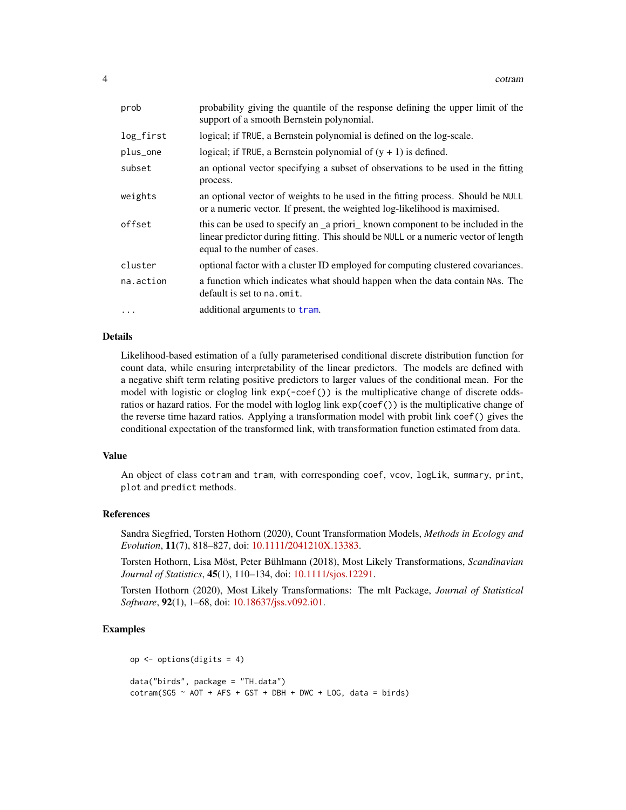<span id="page-3-0"></span>

| prob      | probability giving the quantile of the response defining the upper limit of the<br>support of a smooth Bernstein polynomial.                                                                         |
|-----------|------------------------------------------------------------------------------------------------------------------------------------------------------------------------------------------------------|
| log_first | logical; if TRUE, a Bernstein polynomial is defined on the log-scale.                                                                                                                                |
| plus_one  | logical; if TRUE, a Bernstein polynomial of $(y + 1)$ is defined.                                                                                                                                    |
| subset    | an optional vector specifying a subset of observations to be used in the fitting<br>process.                                                                                                         |
| weights   | an optional vector of weights to be used in the fitting process. Should be NULL<br>or a numeric vector. If present, the weighted log-likelihood is maximised.                                        |
| offset    | this can be used to specify an a priori known component to be included in the<br>linear predictor during fitting. This should be NULL or a numeric vector of length<br>equal to the number of cases. |
| cluster   | optional factor with a cluster ID employed for computing clustered covariances.                                                                                                                      |
| na.action | a function which indicates what should happen when the data contain NAs. The<br>default is set to na. omit.                                                                                          |
| $\cdots$  | additional arguments to tram.                                                                                                                                                                        |

#### Details

Likelihood-based estimation of a fully parameterised conditional discrete distribution function for count data, while ensuring interpretability of the linear predictors. The models are defined with a negative shift term relating positive predictors to larger values of the conditional mean. For the model with logistic or cloglog link  $exp(-coeff())$  is the multiplicative change of discrete oddsratios or hazard ratios. For the model with loglog link exp(coef()) is the multiplicative change of the reverse time hazard ratios. Applying a transformation model with probit link coef() gives the conditional expectation of the transformed link, with transformation function estimated from data.

#### Value

An object of class cotram and tram, with corresponding coef, vcov, logLik, summary, print, plot and predict methods.

#### References

Sandra Siegfried, Torsten Hothorn (2020), Count Transformation Models, *Methods in Ecology and Evolution*, 11(7), 818–827, doi: [10.1111/2041210X.13383.](https://doi.org/10.1111/2041-210X.13383)

Torsten Hothorn, Lisa Möst, Peter Bühlmann (2018), Most Likely Transformations, *Scandinavian Journal of Statistics*, 45(1), 110–134, doi: [10.1111/sjos.12291.](https://doi.org/10.1111/sjos.12291)

Torsten Hothorn (2020), Most Likely Transformations: The mlt Package, *Journal of Statistical Software*, 92(1), 1–68, doi: [10.18637/jss.v092.i01.](https://doi.org/10.18637/jss.v092.i01)

#### Examples

```
op <- options(digits = 4)
data("birds", package = "TH.data")
\text{cotram}(\text{SG5} \sim \text{AOT} + \text{AFS} + \text{GST} + \text{DBH} + \text{DWC} + \text{LOG}, \text{ data} = \text{birds})
```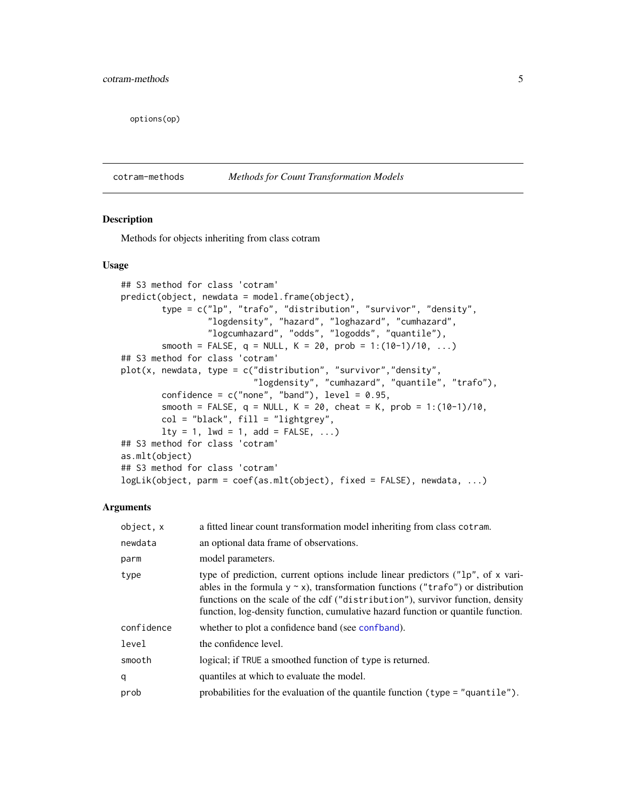<span id="page-4-0"></span>options(op)

cotram-methods *Methods for Count Transformation Models*

#### <span id="page-4-1"></span>Description

Methods for objects inheriting from class cotram

#### Usage

```
## S3 method for class 'cotram'
predict(object, newdata = model.frame(object),
        type = c("lp", "trafo", "distribution", "survivor", "density",
                 "logdensity", "hazard", "loghazard", "cumhazard",
                 "logcumhazard", "odds", "logodds", "quantile"),
        smooth = FALSE, q = NULL, K = 20, prob = 1:(10-1)/10, ...)
## S3 method for class 'cotram'
plot(x, newdata, type = c("distribution", "survivor","density",
                          "logdensity", "cumhazard", "quantile", "trafo"),
       confidence = c("none", "band"), level = 0.95,smooth = FALSE, q = NULL, K = 20, cheat = K, prob = 1:(10-1)/10,
       col = "black", fill = "lightgrey",
       lty = 1, lwd = 1, add = FALSE, ...## S3 method for class 'cotram'
as.mlt(object)
## S3 method for class 'cotram'
logLik(object, parm = coef(as.mlt(object), fixed = FALSE), newdata, ...)
```
#### Arguments

| object. x  | a fitted linear count transformation model inheriting from class cotram.                                                                                                                                                                                                                                                                             |
|------------|------------------------------------------------------------------------------------------------------------------------------------------------------------------------------------------------------------------------------------------------------------------------------------------------------------------------------------------------------|
| newdata    | an optional data frame of observations.                                                                                                                                                                                                                                                                                                              |
| parm       | model parameters.                                                                                                                                                                                                                                                                                                                                    |
| type       | type of prediction, current options include linear predictors ( $n^2$ lp", of x vari-<br>ables in the formula $y \sim x$ ), transformation functions ("trafo") or distribution<br>functions on the scale of the cdf ("distribution"), survivor function, density<br>function, log-density function, cumulative hazard function or quantile function. |
| confidence | whether to plot a confidence band (see confidence).                                                                                                                                                                                                                                                                                                  |
| level      | the confidence level.                                                                                                                                                                                                                                                                                                                                |
| smooth     | logical; if TRUE a smoothed function of type is returned.                                                                                                                                                                                                                                                                                            |
| q          | quantiles at which to evaluate the model.                                                                                                                                                                                                                                                                                                            |
| prob       | probabilities for the evaluation of the quantile function $(typ = "quantile").$                                                                                                                                                                                                                                                                      |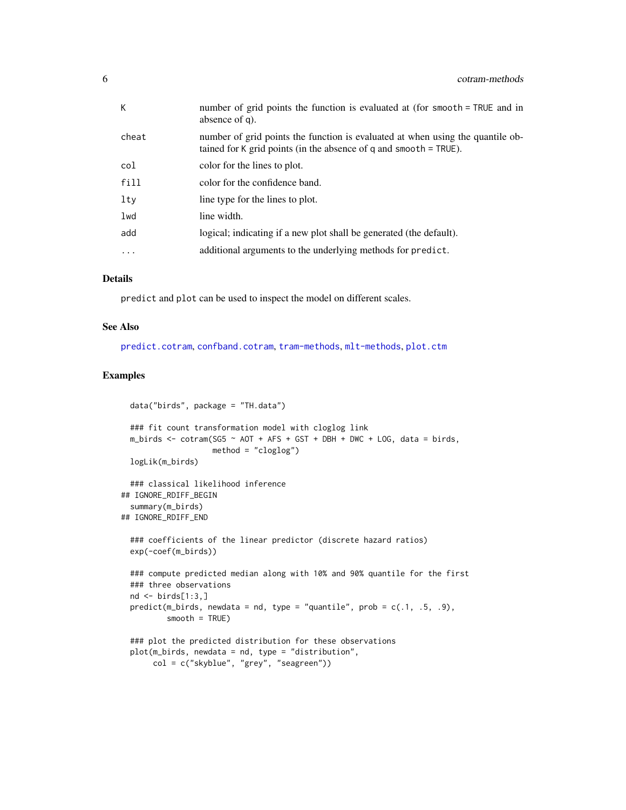<span id="page-5-0"></span>

| K.       | number of grid points the function is evaluated at (for smooth = TRUE and in<br>absence of q).                                                        |
|----------|-------------------------------------------------------------------------------------------------------------------------------------------------------|
| cheat    | number of grid points the function is evaluated at when using the quantile ob-<br>tained for K grid points (in the absence of q and smooth $=$ TRUE). |
| col      | color for the lines to plot.                                                                                                                          |
| fill     | color for the confidence band.                                                                                                                        |
| $1$ ty   | line type for the lines to plot.                                                                                                                      |
| lwd      | line width.                                                                                                                                           |
| add      | logical; indicating if a new plot shall be generated (the default).                                                                                   |
| $\cdots$ | additional arguments to the underlying methods for predict.                                                                                           |
|          |                                                                                                                                                       |

#### Details

predict and plot can be used to inspect the model on different scales.

#### See Also

[predict.cotram](#page-4-1), [confband.cotram](#page-1-2), [tram-methods](#page-0-0), [mlt-methods](#page-0-0), [plot.ctm](#page-0-0)

#### Examples

```
data("birds", package = "TH.data")
 ### fit count transformation model with cloglog link
 m_birds <- cotram(SG5 \sim AOT + AFS + GST + DBH + DWC + LOG, data = birds,
                    method = "cloglog")
 logLik(m_birds)
 ### classical likelihood inference
## IGNORE_RDIFF_BEGIN
 summary(m_birds)
## IGNORE_RDIFF_END
 ### coefficients of the linear predictor (discrete hazard ratios)
 exp(-coef(m_birds))
 ### compute predicted median along with 10% and 90% quantile for the first
 ### three observations
 nd \leftarrow \text{birds}[1:3,]predict(m_birds, newdata = nd, type = "quantile", prob = c(.1, .5, .9),
          smooth = TRUE)
 ### plot the predicted distribution for these observations
 plot(m_birds, newdata = nd, type = "distribution",
       col = c("skyblue", "grey", "seagreen"))
```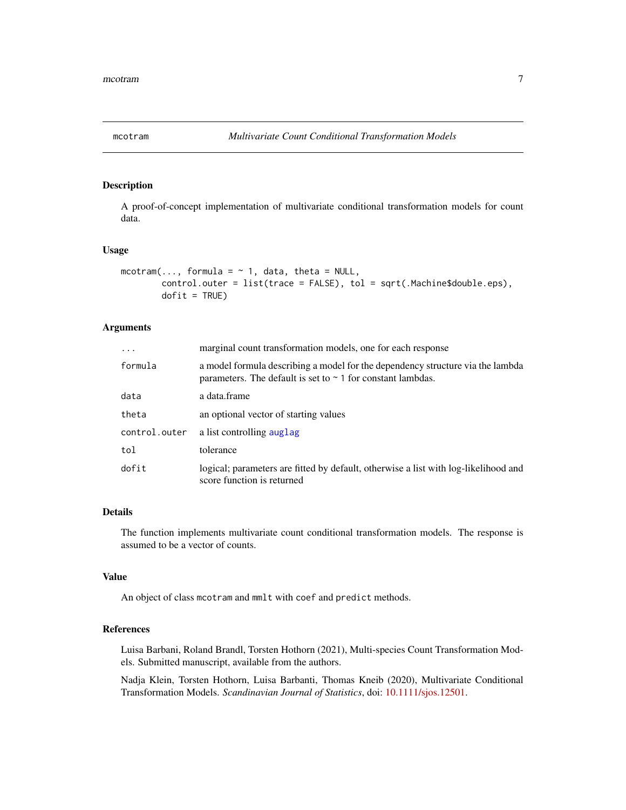<span id="page-6-0"></span>

#### Description

A proof-of-concept implementation of multivariate conditional transformation models for count data.

#### Usage

```
mcotram(..., formula = \sim 1, data, theta = NULL,
        control.outer = list(trace = FALSE), tol = sqrt(.Machine$double.eps),
        dofit = TRUE)
```
#### Arguments

| $\cdots$      | marginal count transformation models, one for each response                                                                                        |
|---------------|----------------------------------------------------------------------------------------------------------------------------------------------------|
| formula       | a model formula describing a model for the dependency structure via the lambda<br>parameters. The default is set to $\sim$ 1 for constant lambdas. |
| data          | a data.frame                                                                                                                                       |
| theta         | an optional vector of starting values                                                                                                              |
| control.outer | a list controlling auglag                                                                                                                          |
| tol           | tolerance                                                                                                                                          |
| dofit         | logical; parameters are fitted by default, otherwise a list with log-likelihood and<br>score function is returned                                  |

#### Details

The function implements multivariate count conditional transformation models. The response is assumed to be a vector of counts.

#### Value

An object of class mcotram and mmlt with coef and predict methods.

#### References

Luisa Barbani, Roland Brandl, Torsten Hothorn (2021), Multi-species Count Transformation Models. Submitted manuscript, available from the authors.

Nadja Klein, Torsten Hothorn, Luisa Barbanti, Thomas Kneib (2020), Multivariate Conditional Transformation Models. *Scandinavian Journal of Statistics*, doi: [10.1111/sjos.12501.](https://doi.org/10.1111/sjos.12501)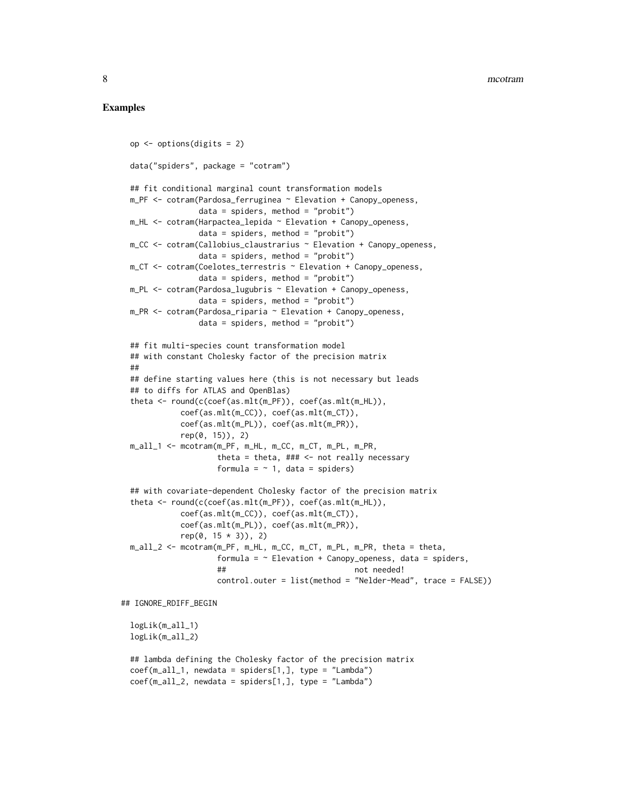#### Examples

```
op <- options(digits = 2)
 data("spiders", package = "cotram")
 ## fit conditional marginal count transformation models
 m_PF <- cotram(Pardosa_ferruginea ~ Elevation + Canopy_openess,
                data = spiders, method = "probit")m_HL <- cotram(Harpactea_lepida ~ Elevation + Canopy_openess,
                data = spiders, method = "probit")m_CC <- cotram(Callobius_claustrarius ~ Elevation + Canopy_openess,
                data = spiders, method = "probit")m_CT <- cotram(Coelotes_terrestris ~ Elevation + Canopy_openess,
                data = spiders, method = "probit")m_PL <- cotram(Pardosa_lugubris ~ Elevation + Canopy_openess,
                data = spiders, method = "probit")
 m_PR <- cotram(Pardosa_riparia ~ Elevation + Canopy_openess,
                data = spiders, method = "probit")## fit multi-species count transformation model
 ## with constant Cholesky factor of the precision matrix
 ##
 ## define starting values here (this is not necessary but leads
 ## to diffs for ATLAS and OpenBlas)
 theta <- round(c(coef(as.mlt(m_PF)), coef(as.mlt(m_HL)),
            coef(as.mlt(m_CC)), coef(as.mlt(m_CT)),
            coef(as.mlt(m_PL)), coef(as.mlt(m_PR)),
            rep(0, 15)), 2)
 m_all_1 <- mcotram(m_PF, m_HL, m_CC, m_CT, m_PL, m_PR,
                    theta = theta, \# \# \le - not really necessary
                    formula = \sim 1, data = spiders)
 ## with covariate-dependent Cholesky factor of the precision matrix
 theta <- round(c(coef(as.mlt(m_PF)), coef(as.mlt(m_HL)),
            coef(as.mlt(m_CC)), coef(as.mlt(m_CT)),
            coef(as.mlt(m_PL)), coef(as.mlt(m_PR)),
            rep(0, 15 * 3), 2)
 m_all_2 <- mcotram(m_PF, m_HL, m_CC, m_CT, m_PL, m_PR, theta = theta,
                    formula = \sim Elevation + Canopy_openess, data = spiders,
                    ## not needed!
                    control.outer = list(method = "Nelder-Mead", trace = FALSE))
## IGNORE_RDIFF_BEGIN
 logLik(m_all_1)
 logLik(m_all_2)
 ## lambda defining the Cholesky factor of the precision matrix
 coef(m\_all_1, newdata = spiders[1,], type = "Lambda"coef(m\_all_2, newdata = spiders[1,], type = "Lambda"
```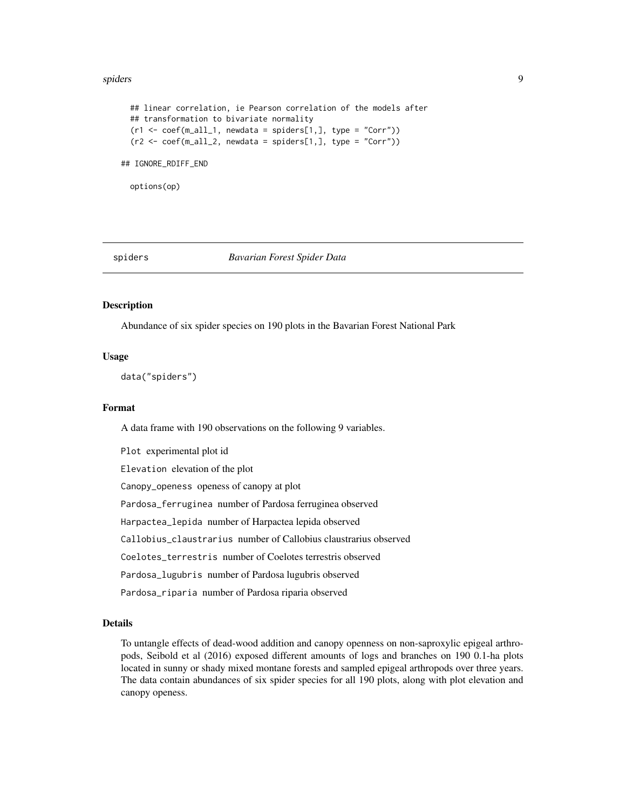#### <span id="page-8-0"></span>spiders **9**

```
## linear correlation, ie Pearson correlation of the models after
 ## transformation to bivariate normality
 (r1 \leq coeff(m_a1l_1, newdata = spiders[1,], type = "Corr"))(r2 \leq c \cdot c \cdot (m_a 11_2, new data = spiders[1,], type = "Corr"))## IGNORE_RDIFF_END
```
options(op)

spiders *Bavarian Forest Spider Data*

#### **Description**

Abundance of six spider species on 190 plots in the Bavarian Forest National Park

#### Usage

data("spiders")

#### Format

A data frame with 190 observations on the following 9 variables.

Plot experimental plot id Elevation elevation of the plot Canopy\_openess openess of canopy at plot Pardosa\_ferruginea number of Pardosa ferruginea observed Harpactea\_lepida number of Harpactea lepida observed Callobius\_claustrarius number of Callobius claustrarius observed Coelotes\_terrestris number of Coelotes terrestris observed Pardosa\_lugubris number of Pardosa lugubris observed Pardosa\_riparia number of Pardosa riparia observed

#### Details

To untangle effects of dead-wood addition and canopy openness on non-saproxylic epigeal arthropods, Seibold et al (2016) exposed different amounts of logs and branches on 190 0.1-ha plots located in sunny or shady mixed montane forests and sampled epigeal arthropods over three years. The data contain abundances of six spider species for all 190 plots, along with plot elevation and canopy openess.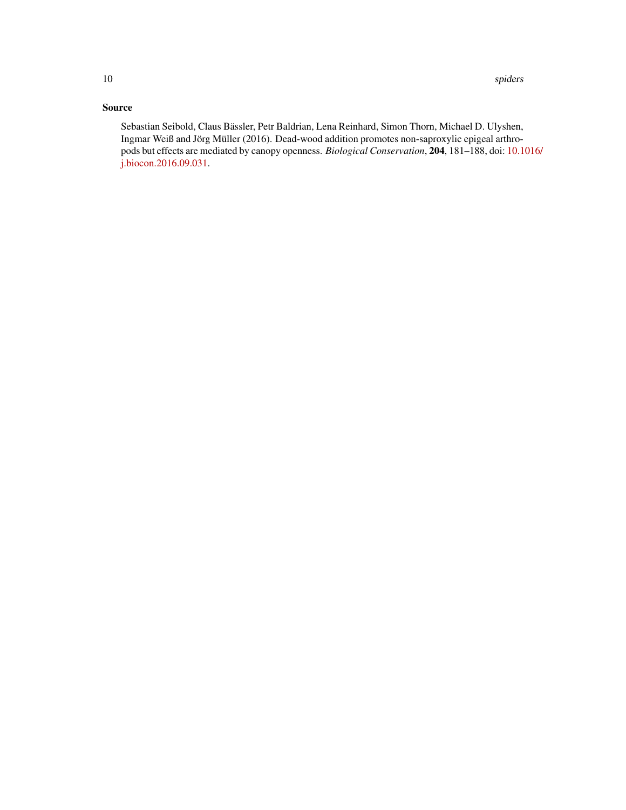#### Source

Sebastian Seibold, Claus Bässler, Petr Baldrian, Lena Reinhard, Simon Thorn, Michael D. Ulyshen, Ingmar Weiß and Jörg Müller (2016). Dead-wood addition promotes non-saproxylic epigeal arthropods but effects are mediated by canopy openness. *Biological Conservation*, 204, 181–188, doi: [10.1](https://doi.org/10.1016/j.biocon.2016.09.031)016/ [j.biocon.2016.09.031.](https://doi.org/10.1016/j.biocon.2016.09.031)